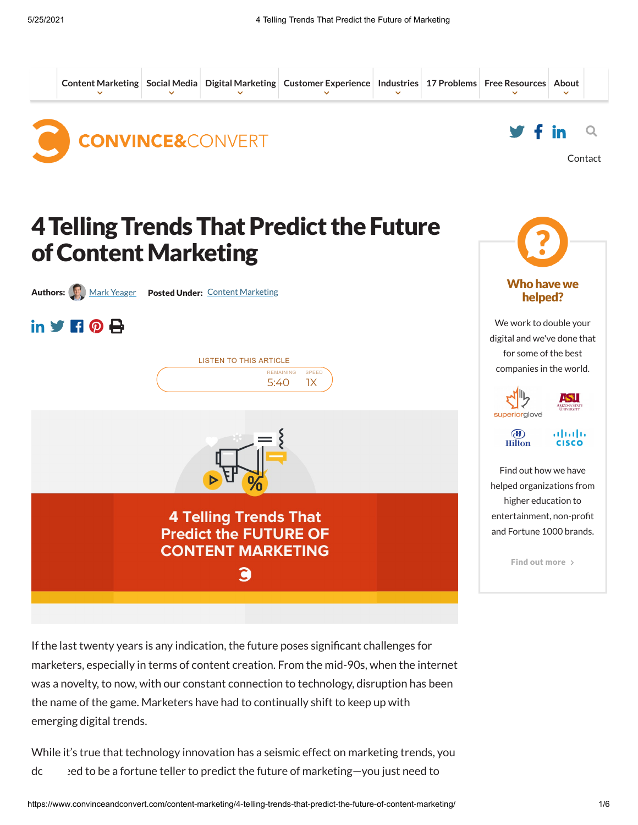

If the last twenty years is any indication, the future poses significant challenges for marketers, especially in terms of content creation. From the mid-90s, when the internet was a novelty, to now, with our constant connection to technology, disruption has been the name of the game. Marketers have had to continually shift to keep up with emerging digital trends.

While it's true that technology innovation has a seismic effect on marketing trends, you doncepted to be a fortune teller to predict the future of marketing-you just need to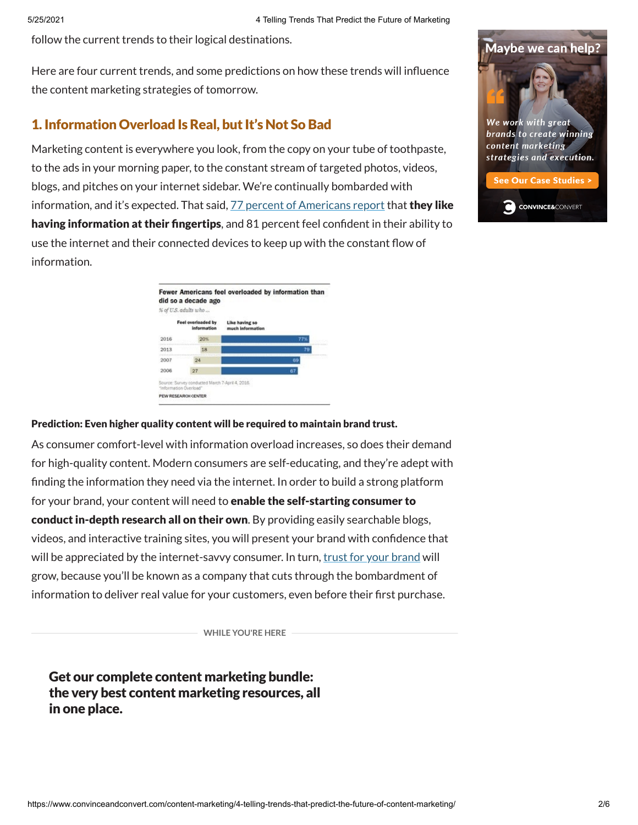follow the current trends to their logical destinations.

Here are four current trends, and some predictions on how these trends will influence the content marketing strategies of tomorrow.

# 1. Information Overload IsReal, but It's Not SoBad

Marketing content is everywhere you look, from the copy on your tube of toothpaste, to the ads in your morning paper, to the constant stream of targeted photos, videos, blogs, and pitches on your internet sidebar. We're continually bombarded with information, and it's expected. That said, 77 percent of [Americans](http://www.pewinternet.org/2016/12/07/information-overload/) report that they like having information at their fingertips, and 81 percent feel confident in their ability to use the internet and their connected devices to keep up with the constant flow of information.



#### Prediction: Even higher quality content will be required to maintain brand trust.

As consumer comfort-level with information overload increases, so does their demand for high-quality content. Modern consumers are self-educating, and they're adept with finding the information they need via the internet. In order to build a strong platform for your brand, your content will need to enable the self-starting consumer to conduct in-depth research all on their own. By providing easily searchable blogs, videos, and interactive training sites, you will present your brand with confidence that will be appreciated by the internet-savvy consumer. In turn, trust for your [brand](https://www.convinceandconvert.com/digital-marketing/gain-trust-of-tech-savvy-consumers/) will grow, because you'll be known as a company that cuts through the bombardment of information to deliver real value for your customers, even before their first purchase.

**WHILE YOU'RE HERE**

Get our complete content marketing bundle: the very best content marketing resources, all in one place.



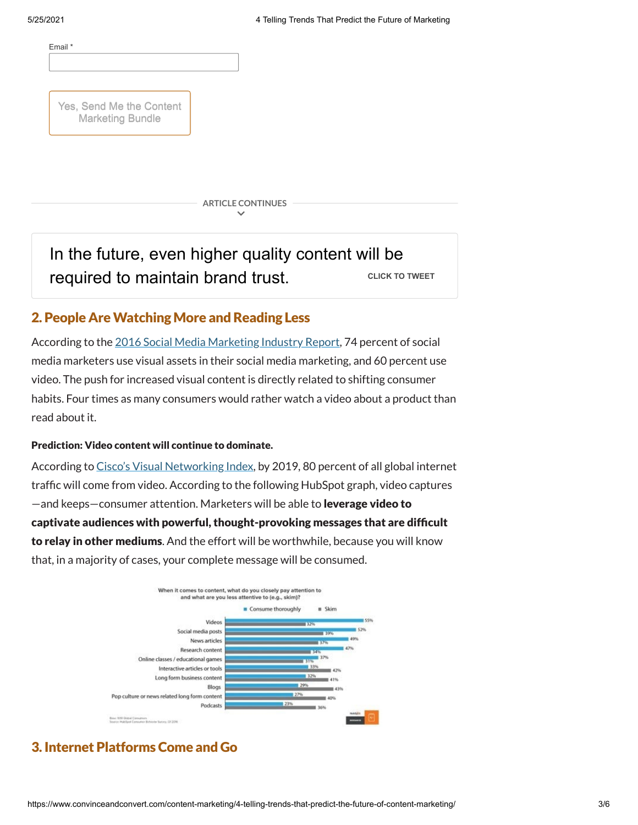

Yes, Send Me the Content Marketing Bundle

> **ARTICLE CONTINUES**  $\overline{\phantom{0}}$

#### In the future, even higher quality content will be required to [maintain](https://twitter.com/intent/tweet?url=https%3A%2F%2Fwww.convinceandconvert.com%2F%3Fp%3D140084&text=In%20the%20future%2C%20even%20higher%20quality%20content%20will%20be%20required%20to%20maintain%20brand%20trust.&via=convince&related=convince) brand trust. **CLICK TO [TWEET](https://twitter.com/intent/tweet?url=https%3A%2F%2Fwww.convinceandconvert.com%2F%3Fp%3D140084&text=In%20the%20future%2C%20even%20higher%20quality%20content%20will%20be%20required%20to%20maintain%20brand%20trust.&via=convince&related=convince)**

# 2. People Are Watching More and Reading Less

According to the 2016 Social Media [Marketing](https://www.socialmediaexaminer.com/wp-content/uploads/2016/05/SocialMediaMarketingIndustryReport2016.pdf) Industry Report, 74 percent of social media marketers use visual assets in their social media marketing, and 60 percent use video. The push for increased visual content is directly related to shifting consumer habits. Four times as many consumers would rather watch a video about a product than read about it.

#### Prediction: Video content will continue to dominate.

According to Cisco's Visual [Networking](http://www.pewinternet.org/fact-sheet/social-media/) Index, by 2019, 80 percent of all global internet traffic will come from video. According to the following HubSpot graph, video captures —and keeps—consumer attention. Marketers will be able to leverage video to captivate audiences with powerful, thought-provoking messages that are difcult to relay in other mediums. And the effort will be worthwhile, because you will know that, in a majority of cases, your complete message will be consumed.



# 3. Internet PlatformsCome and Go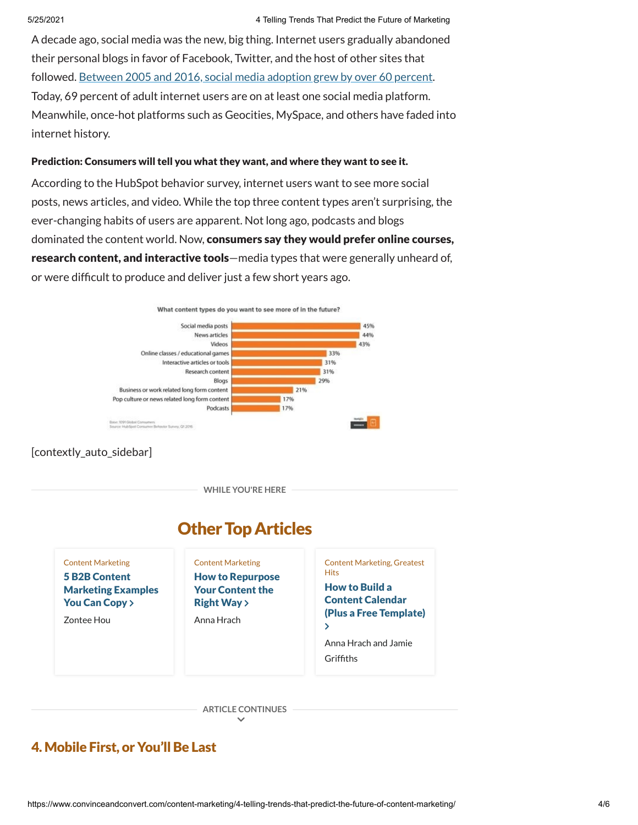A decade ago, social media was the new, big thing. Internet users gradually abandoned their personal blogs in favor of Facebook, Twitter, and the host of other sites that followed. Between 2005 and 2016, social media [adoption](http://www.pewinternet.org/2016/12/07/information-overload/) grew by over 60 percent. Today, 69 percent of adult internet users are on at least one social media platform. Meanwhile, once-hot platforms such as Geocities, MySpace, and others have faded into internet history.

#### Prediction: Consumers will tell you what they want, and where they want to see it.

According to the HubSpot behavior survey, internet users want to see more social posts, news articles, and video. While the top three content types aren't surprising, the ever-changing habits of users are apparent. Not long ago, podcasts and blogs dominated the content world. Now, consumers say they would prefer online courses, research content, and interactive tools—media types that were generally unheard of, or were difcult to produce and deliver just a few short years ago.



#### [contextly\_auto\_sidebar]

**WHILE YOU'RE HERE**



**ARTICLE CONTINUES**  $\checkmark$ 

# 4. Mobile First, or You'll Be Last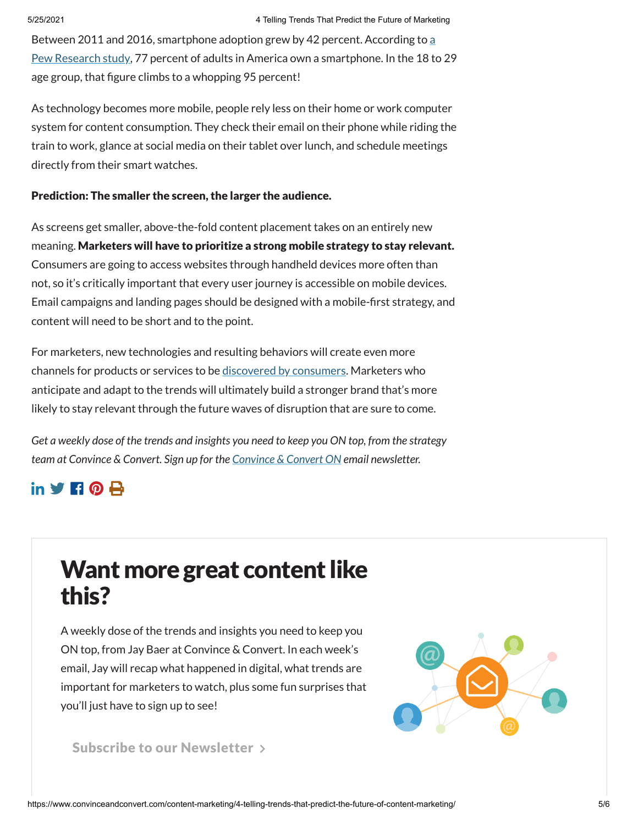Between 2011 and 2016, smartphone adoption grew by 42 percent. According to a Pew Research study, 77 percent of adults in America own a [smartphone.](http://www.pewinternet.org/fact-sheet/mobile/) In the 18 to 29 age group, that figure climbs to a whopping 95 percent!

As technology becomes more mobile, people rely less on their home or work computer system for content consumption. They check their email on their phone while riding the train to work, glance at social media on their tablet over lunch, and schedule meetings directly from their smart watches.

#### Prediction: The smaller the screen, the larger the audience.

As screens get smaller, above-the-fold content placement takes on an entirely new meaning. Marketers will have to prioritize a strong mobile strategy to stay relevant. Consumers are going to access websites through handheld devices more often than not, so it's critically important that every user journey is accessible on mobile devices. Email campaigns and landing pages should be designed with a mobile-first strategy, and content will need to be short and to the point.

For marketers, new technologies and resulting behaviors will create even more channels for products or services to be [discovered](https://www.convinceandconvert.com/content-marketing/how-to-make-sure-your-content-gets-seen/) by consumers. Marketers who anticipate and adapt to the trends will ultimately build a stronger brand that's more likely to stay relevant through the future waves of disruption that are sure to come.

*Get a weekly dose of the trends and insights you need to keep you ON top, from the strategy team at Convince & Convert. Sign up for the [Convince](http://convinceandconvert.com/newsletter) & Convert ON email newsletter.*

# $\mathbf{in}$  y  $\mathbf{H} \mathbf{0}$   $\mathbf{A}$

# Want more great content like this?

A weekly dose of the trends and insights you need to keep you ON top, from Jay Baer at Convince & Convert. In each week's email, Jay will recap what happened in digital, what trends are important for marketers to watch, plus some fun surprises that you'll just have to sign up to see!



## Subscribe to our [Newsletter](https://www.convinceandconvert.com/newsletter/)